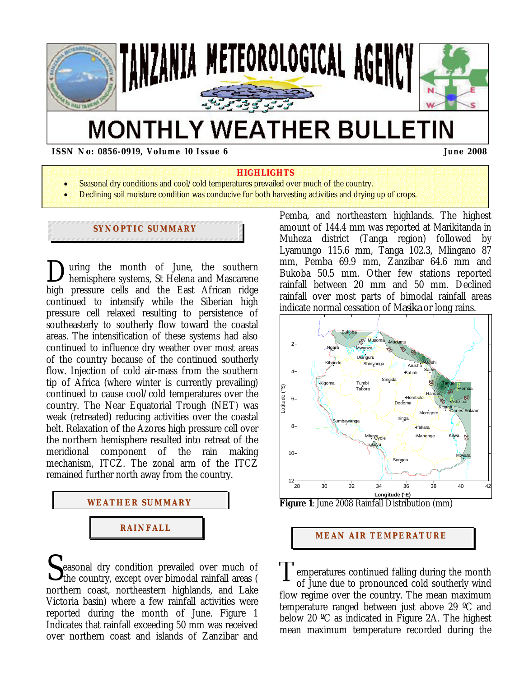

# **MONTHLY WEATHER BULLETIN**

**ISSN No: 0856-0919, Volume 10 Issue 6 June 2008 June 2008** 

#### **HIGHLIGHTS**

- Seasonal dry conditions and cool/cold temperatures prevailed over much of the country.
- Declining soil moisture condition was conducive for both harvesting activities and drying up of crops.

## **SYNOPTIC SUMMARY**

uring the month of June, the southern hemisphere systems, St Helena and Mascarene high pressure cells and the East African ridge continued to intensify while the Siberian high pressure cell relaxed resulting to persistence of southeasterly to southerly flow toward the coastal areas. The intensification of these systems had also continued to influence dry weather over most areas of the country because of the continued southerly flow. Injection of cold air-mass from the southern tip of Africa (where winter is currently prevailing) continued to cause cool/cold temperatures over the country. The Near Equatorial Trough (NET) was weak (retreated) reducing activities over the coastal belt. Relaxation of the Azores high pressure cell over the northern hemisphere resulted into retreat of the meridional component of the rain making mechanism, ITCZ. The zonal arm of the ITCZ remained further north away from the country.  $\sum_{he}$ 



easonal dry condition prevailed over much of  $S_{\text{the country, except over bimodal rainfall areas}}$  ( T northern coast, northeastern highlands, and Lake Victoria basin) where a few rainfall activities were reported during the month of June. Figure 1 Indicates that rainfall exceeding 50 mm was received over northern coast and islands of Zanzibar and

Pemba, and northeastern highlands. The highest amount of 144.4 mm was reported at Marikitanda in Muheza district (Tanga region) followed by Lyamungo 115.6 mm, Tanga 102.3, Mlingano 87 mm, Pemba 69.9 mm, Zanzibar 64.6 mm and Bukoba 50.5 mm. Other few stations reported rainfall between 20 mm and 50 mm. Declined rainfall over most parts of bimodal rainfall areas indicate normal cessation of M*asika* or long rains.



**Figure 1**: June 2008 Rainfall Distribution (mm)

#### **MEAN AIR TEMPERATURE**

emperatures continued falling during the month of June due to pronounced cold southerly wind flow regime over the country. The mean maximum temperature ranged between just above 29 ºC and below 20 ºC as indicated in Figure 2A. The highest mean maximum temperature recorded during the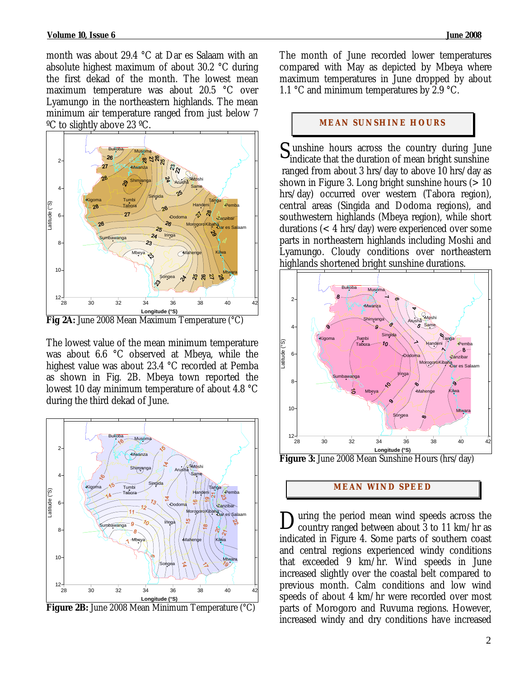month was about 29.4 °C at Dar es Salaam with an absolute highest maximum of about 30.2 °C during the first dekad of the month. The lowest mean maximum temperature was about 20.5 °C over Lyamungo in the northeastern highlands. The mean minimum air temperature ranged from just below 7 ºC to slightly above 23 ºC.



The lowest value of the mean minimum temperature was about 6.6 °C observed at Mbeya, while the highest value was about 23.4 °C recorded at Pemba as shown in Fig. 2B. Mbeya town reported the lowest 10 day minimum temperature of about 4.8 °C during the third dekad of June.



**Figure 2B:** June 2008 Mean Minimum Temperature (°C)

The month of June recorded lower temperatures compared with May as depicted by Mbeya where maximum temperatures in June dropped by about 1.1 °C and minimum temperatures by 2.9 °C.

### **MEAN SUNSHINE HOURS**

 $S_{indicate that the duration of mean bright sunshire$ indicate that the duration of mean bright sunshine ranged from about 3 hrs/day to above 10 hrs/day as shown in Figure 3. Long bright sunshine hours  $(>10$ hrs/day) occurred over western (Tabora region), central areas (Singida and Dodoma regions), and southwestern highlands (Mbeya region), while short durations (< 4 hrs/day) were experienced over some parts in northeastern highlands including Moshi and Lyamungo. Cloudy conditions over northeastern highlands shortened bright sunshine durations.



**Figure 3:** June 2008 Mean Sunshine Hours (hrs/day)

#### **MEAN WI ND SPEED**

uring the period mean wind speeds across the During the period mean wind speeds across the country ranged between about 3 to 11 km/hr as indicated in Figure 4. Some parts of southern coast and central regions experienced windy conditions that exceeded 9 km/hr. Wind speeds in June increased slightly over the coastal belt compared to previous month. Calm conditions and low wind speeds of about 4 km/hr were recorded over most parts of Morogoro and Ruvuma regions. However, increased windy and dry conditions have increased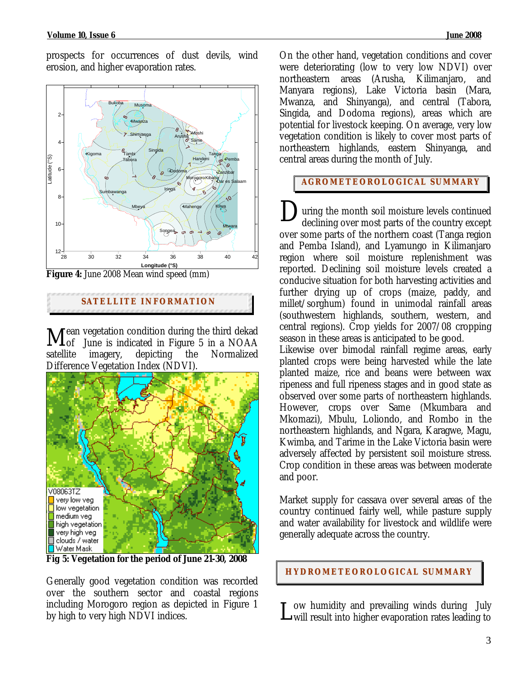prospects for occurrences of dust devils, wind erosion, and higher evaporation rates.



**Figure 4:** June 2008 Mean wind speed (mm)

**SATELLITE I NFORMATION**

ean vegetation condition during the third dekad  $\mathbf{M}_{\textrm{of}}^{$ ean vegetation condition during the third dekad  $\mathbf{M}_{\textrm{off}}^{}$  June is indicated in Figure 5 in a NOAA satellite imagery, depicting the Normalized Difference Vegetation Index (NDVI).



**Fig 5: Vegetation for the period of June 21-30, 2008** 

Generally good vegetation condition was recorded over the southern sector and coastal regions including Morogoro region as depicted in Figure 1 by high to very high NDVI indices.

On the other hand, vegetation conditions and cover were deteriorating (low to very low NDVI) over northeastern areas (Arusha, Kilimanjaro, and Manyara regions), Lake Victoria basin (Mara, Mwanza, and Shinyanga), and central (Tabora, Singida, and Dodoma regions), areas which are potential for livestock keeping. On average, very low vegetation condition is likely to cover most parts of northeastern highlands, eastern Shinyanga, and central areas during the month of July.

### **AGROMETEOROLOGICAL SUMMARY**

uring the month soil moisture levels continued declining over most parts of the country except over some parts of the northern coast (Tanga region and Pemba Island), and Lyamungo in Kilimanjaro region where soil moisture replenishment was reported. Declining soil moisture levels created a conducive situation for both harvesting activities and further drying up of crops (maize, paddy, and millet/sorghum) found in unimodal rainfall areas (southwestern highlands, southern, western, and central regions). Crop yields for 2007/08 cropping season in these areas is anticipated to be good. D

Likewise over bimodal rainfall regime areas, early planted crops were being harvested while the late planted maize, rice and beans were between wax ripeness and full ripeness stages and in good state as observed over some parts of northeastern highlands. However, crops over Same (Mkumbara and Mkomazi), Mbulu, Loliondo, and Rombo in the northeastern highlands, and Ngara, Karagwe, Magu, Kwimba, and Tarime in the Lake Victoria basin were adversely affected by persistent soil moisture stress. Crop condition in these areas was between moderate and poor.

Market supply for cassava over several areas of the country continued fairly well, while pasture supply and water availability for livestock and wildlife were generally adequate across the country.

**HYDROMETEOROLOGICAL SUMMARY**

ow humidity and prevailing winds during July L ow humidity and prevailing winds during July<br>Lwill result into higher evaporation rates leading to